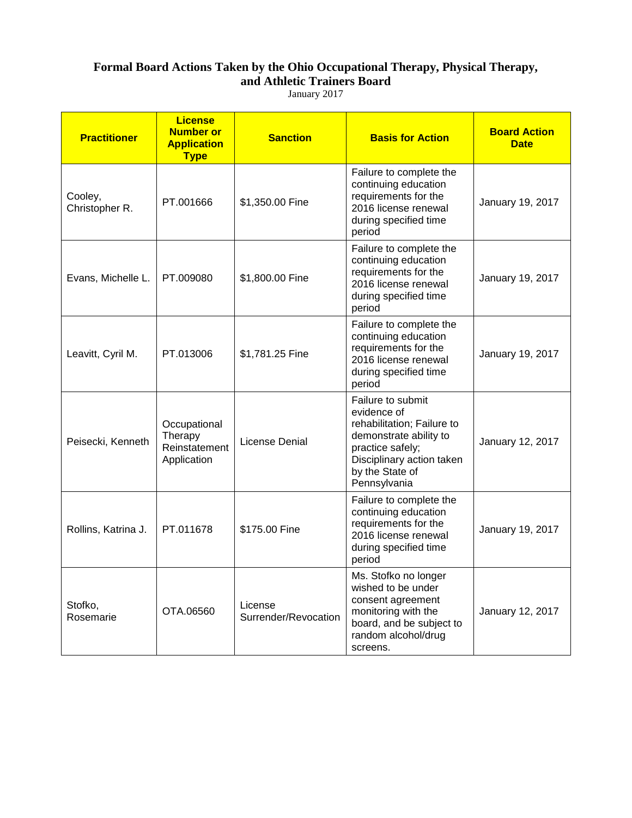## **Formal Board Actions Taken by the Ohio Occupational Therapy, Physical Therapy, and Athletic Trainers Board**

January 2017

| <b>Practitioner</b>       | <b>License</b><br><b>Number or</b><br><b>Application</b><br><b>Type</b> | <b>Sanction</b>                 | <b>Basis for Action</b>                                                                                                                                                      | <b>Board Action</b><br><b>Date</b> |
|---------------------------|-------------------------------------------------------------------------|---------------------------------|------------------------------------------------------------------------------------------------------------------------------------------------------------------------------|------------------------------------|
| Cooley,<br>Christopher R. | PT.001666                                                               | \$1,350.00 Fine                 | Failure to complete the<br>continuing education<br>requirements for the<br>2016 license renewal<br>during specified time<br>period                                           | January 19, 2017                   |
| Evans, Michelle L.        | PT.009080                                                               | \$1,800.00 Fine                 | Failure to complete the<br>continuing education<br>requirements for the<br>2016 license renewal<br>during specified time<br>period                                           | January 19, 2017                   |
| Leavitt, Cyril M.         | PT.013006                                                               | \$1,781.25 Fine                 | Failure to complete the<br>continuing education<br>requirements for the<br>2016 license renewal<br>during specified time<br>period                                           | January 19, 2017                   |
| Peisecki, Kenneth         | Occupational<br>Therapy<br>Reinstatement<br>Application                 | License Denial                  | Failure to submit<br>evidence of<br>rehabilitation; Failure to<br>demonstrate ability to<br>practice safely;<br>Disciplinary action taken<br>by the State of<br>Pennsylvania | January 12, 2017                   |
| Rollins, Katrina J.       | PT.011678                                                               | \$175.00 Fine                   | Failure to complete the<br>continuing education<br>requirements for the<br>2016 license renewal<br>during specified time<br>period                                           | January 19, 2017                   |
| Stofko,<br>Rosemarie      | OTA.06560                                                               | License<br>Surrender/Revocation | Ms. Stofko no longer<br>wished to be under<br>consent agreement<br>monitoring with the<br>board, and be subject to<br>random alcohol/drug<br>screens.                        | January 12, 2017                   |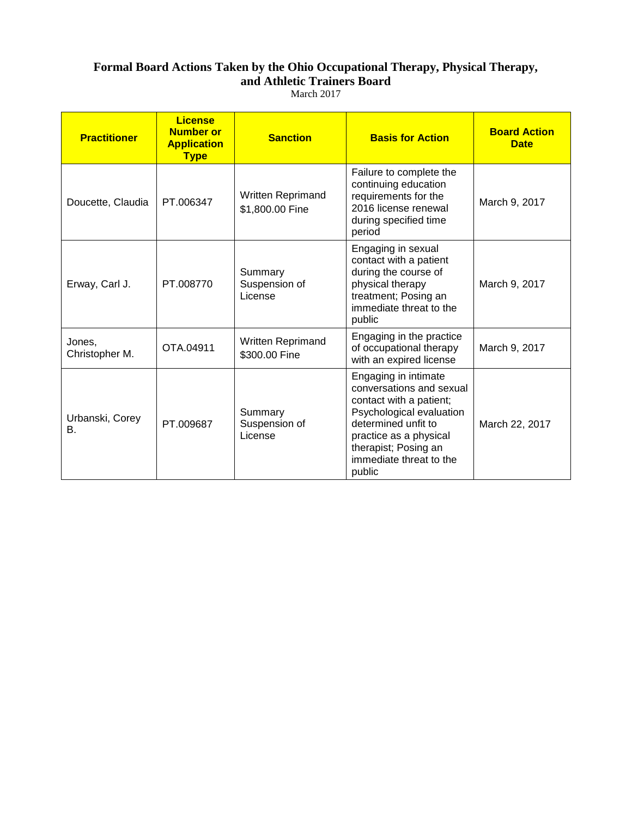#### **Formal Board Actions Taken by the Ohio Occupational Therapy, Physical Therapy, and Athletic Trainers Board** March 2017

| <b>Practitioner</b>      | <b>License</b><br><b>Number or</b><br><b>Application</b><br><b>Type</b> | <b>Sanction</b>                      | <b>Basis for Action</b>                                                                                                                                                                                               | <b>Board Action</b><br><b>Date</b> |
|--------------------------|-------------------------------------------------------------------------|--------------------------------------|-----------------------------------------------------------------------------------------------------------------------------------------------------------------------------------------------------------------------|------------------------------------|
| Doucette, Claudia        | PT.006347                                                               | Written Reprimand<br>\$1,800.00 Fine | Failure to complete the<br>continuing education<br>requirements for the<br>2016 license renewal<br>during specified time<br>period                                                                                    | March 9, 2017                      |
| Erway, Carl J.           | PT.008770                                                               | Summary<br>Suspension of<br>License  | Engaging in sexual<br>contact with a patient<br>during the course of<br>physical therapy<br>treatment; Posing an<br>immediate threat to the<br>public                                                                 | March 9, 2017                      |
| Jones,<br>Christopher M. | OTA.04911                                                               | Written Reprimand<br>\$300.00 Fine   | Engaging in the practice<br>of occupational therapy<br>with an expired license                                                                                                                                        | March 9, 2017                      |
| Urbanski, Corey<br>В.    | PT.009687                                                               | Summary<br>Suspension of<br>License  | Engaging in intimate<br>conversations and sexual<br>contact with a patient;<br>Psychological evaluation<br>determined unfit to<br>practice as a physical<br>therapist; Posing an<br>immediate threat to the<br>public | March 22, 2017                     |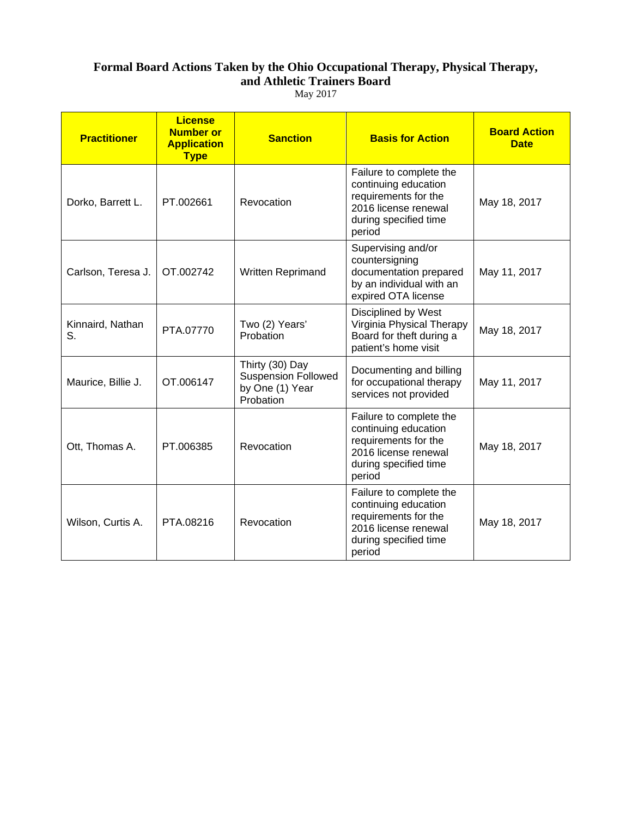# **Formal Board Actions Taken by the Ohio Occupational Therapy, Physical Therapy, and Athletic Trainers Board**

May 2017

| <b>Practitioner</b>    | <b>License</b><br><b>Number or</b><br><b>Application</b><br><b>Type</b> | <b>Sanction</b>                                                               | <b>Basis for Action</b>                                                                                                            | <b>Board Action</b><br><b>Date</b> |
|------------------------|-------------------------------------------------------------------------|-------------------------------------------------------------------------------|------------------------------------------------------------------------------------------------------------------------------------|------------------------------------|
| Dorko, Barrett L.      | PT.002661                                                               | Revocation                                                                    | Failure to complete the<br>continuing education<br>requirements for the<br>2016 license renewal<br>during specified time<br>period | May 18, 2017                       |
| Carlson, Teresa J.     | OT.002742                                                               | Written Reprimand                                                             | Supervising and/or<br>countersigning<br>documentation prepared<br>by an individual with an<br>expired OTA license                  | May 11, 2017                       |
| Kinnaird, Nathan<br>S. | PTA.07770                                                               | Two (2) Years'<br>Probation                                                   | Disciplined by West<br>Virginia Physical Therapy<br>Board for theft during a<br>patient's home visit                               | May 18, 2017                       |
| Maurice, Billie J.     | OT.006147                                                               | Thirty (30) Day<br><b>Suspension Followed</b><br>by One (1) Year<br>Probation | Documenting and billing<br>for occupational therapy<br>services not provided                                                       | May 11, 2017                       |
| Ott, Thomas A.         | PT.006385                                                               | Revocation                                                                    | Failure to complete the<br>continuing education<br>requirements for the<br>2016 license renewal<br>during specified time<br>period | May 18, 2017                       |
| Wilson, Curtis A.      | PTA.08216                                                               | Revocation                                                                    | Failure to complete the<br>continuing education<br>requirements for the<br>2016 license renewal<br>during specified time<br>period | May 18, 2017                       |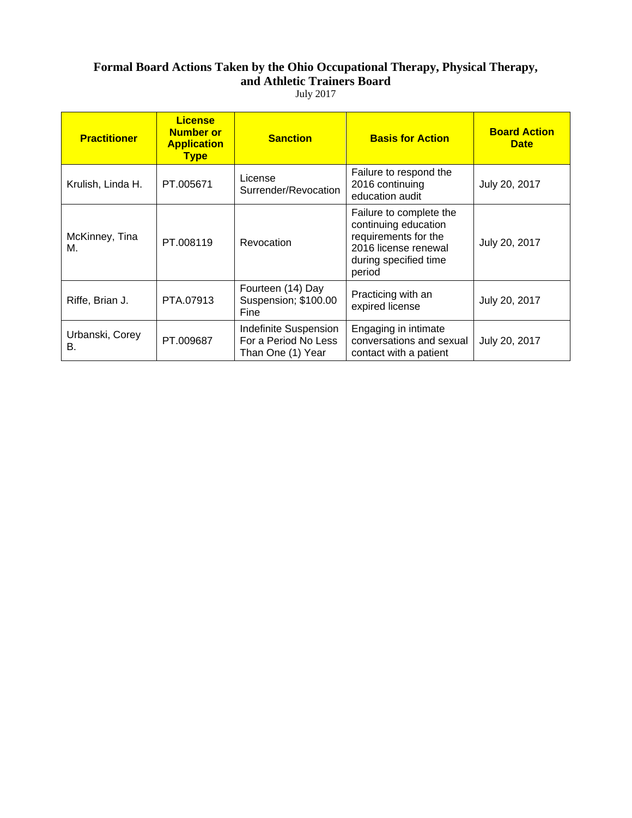## **Formal Board Actions Taken by the Ohio Occupational Therapy, Physical Therapy, and Athletic Trainers Board**

July 2017

| <b>Practitioner</b>   | <b>License</b><br><b>Number or</b><br><b>Application</b><br><b>Type</b> | <b>Sanction</b>                                                    | <b>Basis for Action</b>                                                                                                            | <b>Board Action</b><br><b>Date</b> |
|-----------------------|-------------------------------------------------------------------------|--------------------------------------------------------------------|------------------------------------------------------------------------------------------------------------------------------------|------------------------------------|
| Krulish, Linda H.     | PT.005671                                                               | License<br>Surrender/Revocation                                    | Failure to respond the<br>2016 continuing<br>education audit                                                                       | July 20, 2017                      |
| McKinney, Tina<br>М.  | PT.008119                                                               | Revocation                                                         | Failure to complete the<br>continuing education<br>requirements for the<br>2016 license renewal<br>during specified time<br>period | July 20, 2017                      |
| Riffe, Brian J.       | PTA.07913                                                               | Fourteen (14) Day<br>Suspension; \$100.00<br>Fine                  | Practicing with an<br>expired license                                                                                              | July 20, 2017                      |
| Urbanski, Corey<br>В. | PT.009687                                                               | Indefinite Suspension<br>For a Period No Less<br>Than One (1) Year | Engaging in intimate<br>conversations and sexual<br>contact with a patient                                                         | July 20, 2017                      |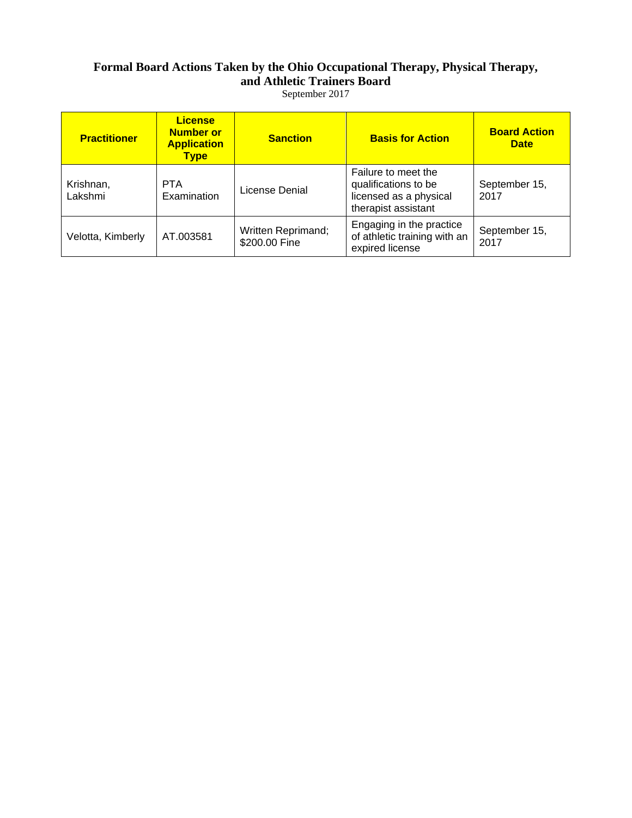#### **Formal Board Actions Taken by the Ohio Occupational Therapy, Physical Therapy, and Athletic Trainers Board**  September 2017

| <b>Practitioner</b>  | <b>License</b><br><b>Number or</b><br><b>Application</b><br><b>Type</b> | <b>Sanction</b>                     | <b>Basis for Action</b>                                                                      | <b>Board Action</b><br><b>Date</b> |
|----------------------|-------------------------------------------------------------------------|-------------------------------------|----------------------------------------------------------------------------------------------|------------------------------------|
| Krishnan,<br>Lakshmi | <b>PTA</b><br>Examination                                               | License Denial                      | Failure to meet the<br>qualifications to be<br>licensed as a physical<br>therapist assistant | September 15,<br>2017              |
| Velotta, Kimberly    | AT.003581                                                               | Written Reprimand;<br>\$200.00 Fine | Engaging in the practice<br>of athletic training with an<br>expired license                  | September 15,<br>2017              |